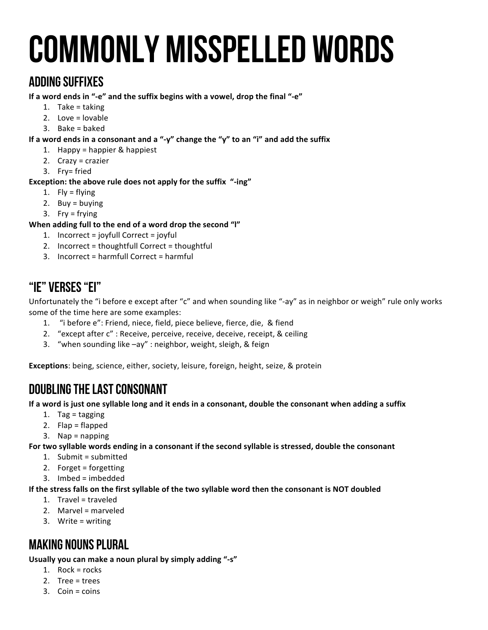# Commonly misspelled words

## Adding Suffixes

If a word ends in "-e" and the suffix begins with a vowel, drop the final "-e"

- 1. Take  $=$  taking
- 2. Love  $=$  lovable
- $3.$  Bake = baked

If a word ends in a consonant and a "-y" change the "y" to an "i" and add the suffix

- 1. Happy = happier  $&$  happiest
- 2.  $Crazy = crazier$
- 3. Fry= fried

## **Exception: the above rule does not apply for the suffix "-ing"**

- 1.  $Fly = flying$
- 2. Buy =  $b$ uying
- 3. Fry =  $frying$

## When adding full to the end of a word drop the second "I"

- 1. Incorrect = joyfull Correct = joyful
- 2. Incorrect = thoughtfull Correct = thoughtful
- 3. Incorrect = harmfull Correct = harmful

## "Ie" verses "Ei"

Unfortunately the "i before e except after "c" and when sounding like "-ay" as in neighbor or weigh" rule only works some of the time here are some examples:

- 1. "i before e": Friend, niece, field, piece believe, fierce, die, & fiend
- 2. "except after c": Receive, perceive, receive, deceive, receipt, & ceiling
- 3. "when sounding like -ay" : neighbor, weight, sleigh, & feign

**Exceptions**: being, science, either, society, leisure, foreign, height, seize, & protein

# Doubling the last consonant

If a word is just one syllable long and it ends in a consonant, double the consonant when adding a suffix

- 1. Tag = tagging
- 2.  $Flap = flapped$
- $3.$  Nap = napping

For two syllable words ending in a consonant if the second syllable is stressed, double the consonant

- 1. Submit =  $submitted$
- 2. Forget  $=$  forgetting
- $3.$  Imbed = imbedded

## If the stress falls on the first syllable of the two syllable word then the consonant is NOT doubled

- 1. Travel = traveled
- 2. Marvel =  $m$ arveled
- 3. Write  $=$  writing

# Making Nouns Plural

Usually you can make a noun plural by simply adding "-s"

- 1. Rock =  $rocks$
- 2. Tree =  $trees$
- $3.$  Coin = coins